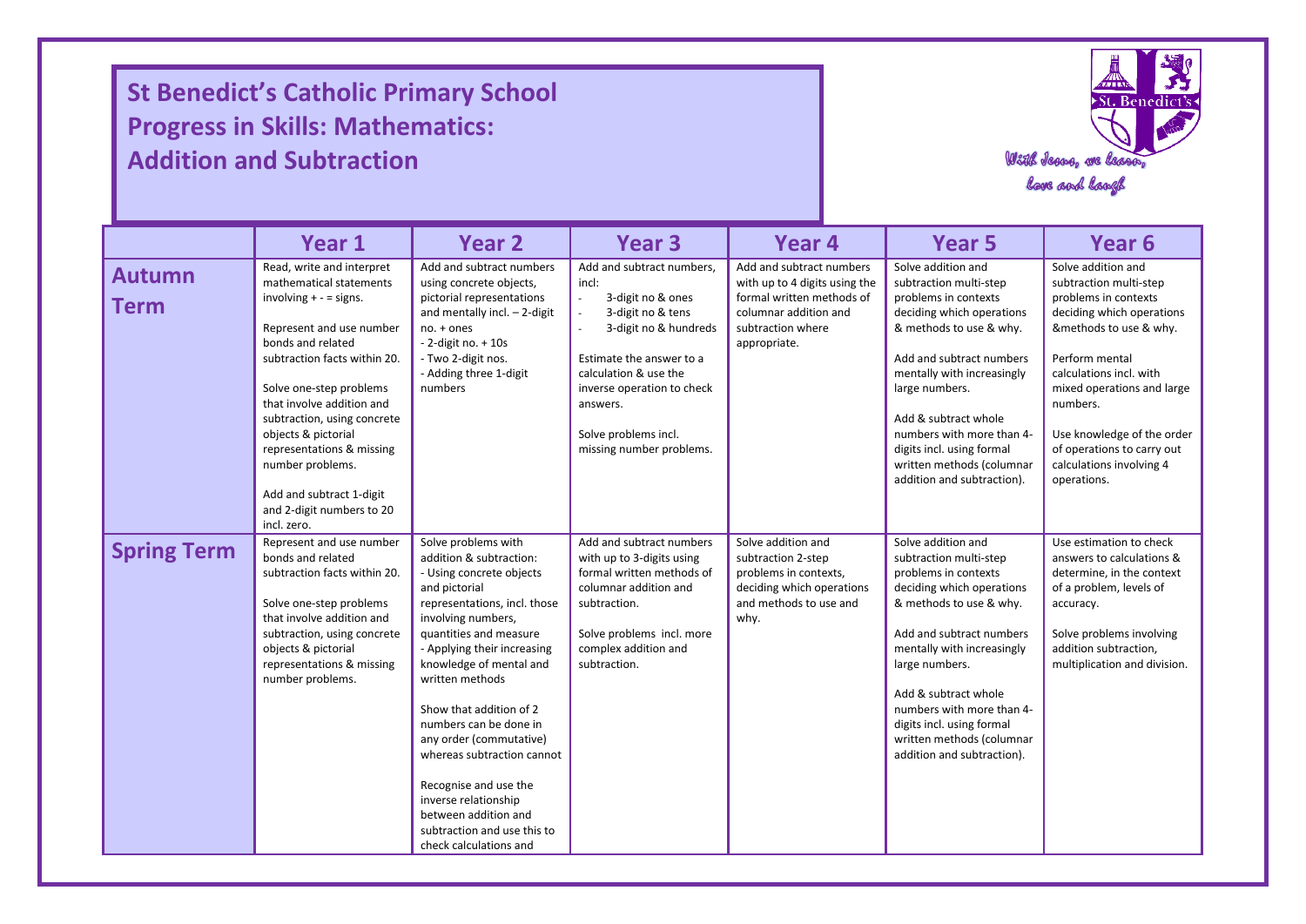## I **St Benedict's Catholic Primary School Progress in Skills: Mathematics: Addition and Subtraction**

I

I



|                              | Year 1                                                                                                                                                                                                                                                                                                                                                                                                   | <b>Year 2</b>                                                                                                                                                                                                                                                                                                                                                                                                                                                                                            | Year <sub>3</sub>                                                                                                                                                                                                                                        | Year 4                                                                                                                                               | Year <sub>5</sub>                                                                                                                                                                                                                                                                                                                                     | Year <sub>6</sub>                                                                                                                                                                                                                                                                                                         |
|------------------------------|----------------------------------------------------------------------------------------------------------------------------------------------------------------------------------------------------------------------------------------------------------------------------------------------------------------------------------------------------------------------------------------------------------|----------------------------------------------------------------------------------------------------------------------------------------------------------------------------------------------------------------------------------------------------------------------------------------------------------------------------------------------------------------------------------------------------------------------------------------------------------------------------------------------------------|----------------------------------------------------------------------------------------------------------------------------------------------------------------------------------------------------------------------------------------------------------|------------------------------------------------------------------------------------------------------------------------------------------------------|-------------------------------------------------------------------------------------------------------------------------------------------------------------------------------------------------------------------------------------------------------------------------------------------------------------------------------------------------------|---------------------------------------------------------------------------------------------------------------------------------------------------------------------------------------------------------------------------------------------------------------------------------------------------------------------------|
| <b>Autumn</b><br><b>Term</b> | Read, write and interpret<br>mathematical statements<br>involving $+ -$ = signs.<br>Represent and use number<br>bonds and related<br>subtraction facts within 20.<br>Solve one-step problems<br>that involve addition and<br>subtraction, using concrete<br>objects & pictorial<br>representations & missing<br>number problems.<br>Add and subtract 1-digit<br>and 2-digit numbers to 20<br>incl. zero. | Add and subtract numbers<br>using concrete objects,<br>pictorial representations<br>and mentally incl. $-2$ -digit<br>no. + ones<br>$-2$ -digit no. $+10s$<br>- Two 2-digit nos.<br>- Adding three 1-digit<br>numbers                                                                                                                                                                                                                                                                                    | Add and subtract numbers,<br>incl:<br>3-digit no & ones<br>3-digit no & tens<br>3-digit no & hundreds<br>Estimate the answer to a<br>calculation & use the<br>inverse operation to check<br>answers.<br>Solve problems incl.<br>missing number problems. | Add and subtract numbers<br>with up to 4 digits using the<br>formal written methods of<br>columnar addition and<br>subtraction where<br>appropriate. | Solve addition and<br>subtraction multi-step<br>problems in contexts<br>deciding which operations<br>& methods to use & why.<br>Add and subtract numbers<br>mentally with increasingly<br>large numbers.<br>Add & subtract whole<br>numbers with more than 4-<br>digits incl. using formal<br>written methods (columnar<br>addition and subtraction). | Solve addition and<br>subtraction multi-step<br>problems in contexts<br>deciding which operations<br>&methods to use & why.<br>Perform mental<br>calculations incl. with<br>mixed operations and large<br>numbers.<br>Use knowledge of the order<br>of operations to carry out<br>calculations involving 4<br>operations. |
| <b>Spring Term</b>           | Represent and use number<br>bonds and related<br>subtraction facts within 20.<br>Solve one-step problems<br>that involve addition and<br>subtraction, using concrete<br>objects & pictorial<br>representations & missing<br>number problems.                                                                                                                                                             | Solve problems with<br>addition & subtraction:<br>- Using concrete objects<br>and pictorial<br>representations, incl. those<br>involving numbers,<br>quantities and measure<br>- Applying their increasing<br>knowledge of mental and<br>written methods<br>Show that addition of 2<br>numbers can be done in<br>any order (commutative)<br>whereas subtraction cannot<br>Recognise and use the<br>inverse relationship<br>between addition and<br>subtraction and use this to<br>check calculations and | Add and subtract numbers<br>with up to 3-digits using<br>formal written methods of<br>columnar addition and<br>subtraction.<br>Solve problems incl. more<br>complex addition and<br>subtraction.                                                         | Solve addition and<br>subtraction 2-step<br>problems in contexts,<br>deciding which operations<br>and methods to use and<br>why.                     | Solve addition and<br>subtraction multi-step<br>problems in contexts<br>deciding which operations<br>& methods to use & why.<br>Add and subtract numbers<br>mentally with increasingly<br>large numbers.<br>Add & subtract whole<br>numbers with more than 4-<br>digits incl. using formal<br>written methods (columnar<br>addition and subtraction). | Use estimation to check<br>answers to calculations &<br>determine, in the context<br>of a problem, levels of<br>accuracy.<br>Solve problems involving<br>addition subtraction,<br>multiplication and division.                                                                                                            |